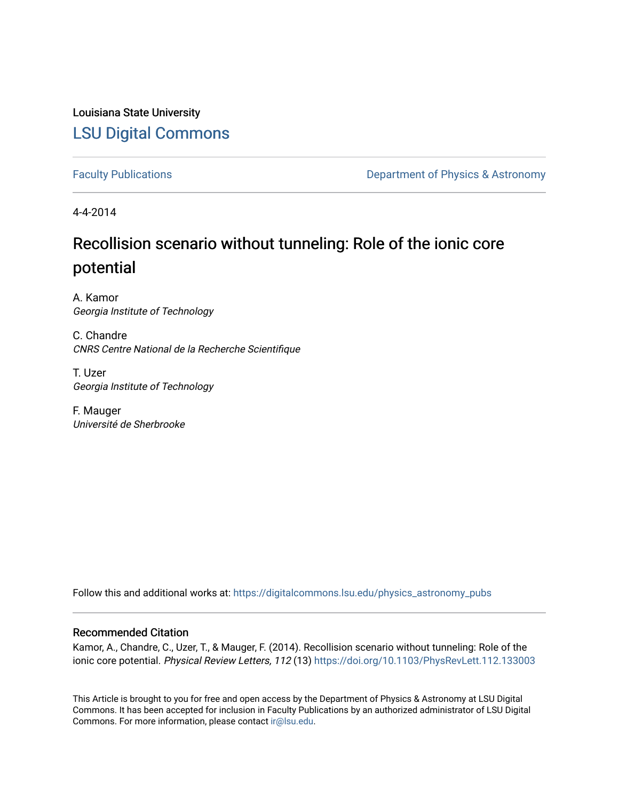## Louisiana State University [LSU Digital Commons](https://digitalcommons.lsu.edu/)

[Faculty Publications](https://digitalcommons.lsu.edu/physics_astronomy_pubs) **Exercise 2 and Table 2 and Table 2 and Table 2 and Table 2 and Table 2 and Table 2 and Table 2 and Table 2 and Table 2 and Table 2 and Table 2 and Table 2 and Table 2 and Table 2 and Table 2 and Table** 

4-4-2014

## Recollision scenario without tunneling: Role of the ionic core potential

A. Kamor Georgia Institute of Technology

C. Chandre CNRS Centre National de la Recherche Scientifique

T. Uzer Georgia Institute of Technology

F. Mauger Université de Sherbrooke

Follow this and additional works at: [https://digitalcommons.lsu.edu/physics\\_astronomy\\_pubs](https://digitalcommons.lsu.edu/physics_astronomy_pubs?utm_source=digitalcommons.lsu.edu%2Fphysics_astronomy_pubs%2F3319&utm_medium=PDF&utm_campaign=PDFCoverPages) 

## Recommended Citation

Kamor, A., Chandre, C., Uzer, T., & Mauger, F. (2014). Recollision scenario without tunneling: Role of the ionic core potential. Physical Review Letters, 112 (13) https://doi.org/10.1103/PhysRevLett.112.133003

This Article is brought to you for free and open access by the Department of Physics & Astronomy at LSU Digital Commons. It has been accepted for inclusion in Faculty Publications by an authorized administrator of LSU Digital Commons. For more information, please contact [ir@lsu.edu](mailto:ir@lsu.edu).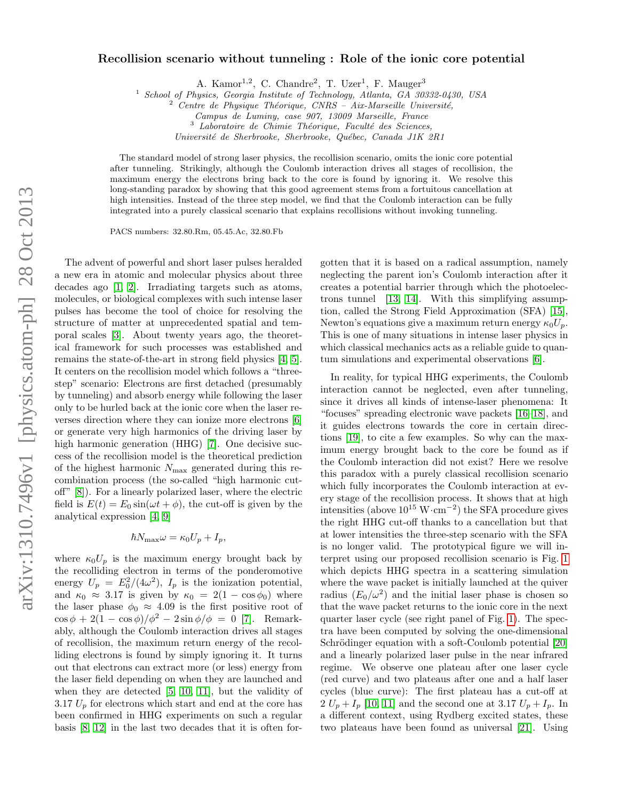## Recollision scenario without tunneling : Role of the ionic core potential

A. Kamor<sup>1,2</sup>, C. Chandre<sup>2</sup>, T. Uzer<sup>1</sup>, F. Mauger<sup>3</sup>

<sup>1</sup> School of Physics, Georgia Institute of Technology, Atlanta, GA 30332-0430, USA

 $^3$  Laboratoire de Chimie Théorique, Faculté des Sciences,

Université de Sherbrooke, Sherbrooke, Québec, Canada J1K 2R1

The standard model of strong laser physics, the recollision scenario, omits the ionic core potential after tunneling. Strikingly, although the Coulomb interaction drives all stages of recollision, the maximum energy the electrons bring back to the core is found by ignoring it. We resolve this long-standing paradox by showing that this good agreement stems from a fortuitous cancellation at high intensities. Instead of the three step model, we find that the Coulomb interaction can be fully integrated into a purely classical scenario that explains recollisions without invoking tunneling.

PACS numbers: 32.80.Rm, 05.45.Ac, 32.80.Fb

The advent of powerful and short laser pulses heralded a new era in atomic and molecular physics about three decades ago [\[1,](#page-4-0) [2\]](#page-4-1). Irradiating targets such as atoms, molecules, or biological complexes with such intense laser pulses has become the tool of choice for resolving the structure of matter at unprecedented spatial and temporal scales [\[3\]](#page-4-2). About twenty years ago, the theoretical framework for such processes was established and remains the state-of-the-art in strong field physics [\[4,](#page-4-3) [5\]](#page-4-4). It centers on the recollision model which follows a "threestep" scenario: Electrons are first detached (presumably by tunneling) and absorb energy while following the laser only to be hurled back at the ionic core when the laser reverses direction where they can ionize more electrons [\[6\]](#page-5-0) or generate very high harmonics of the driving laser by high harmonic generation (HHG) [\[7\]](#page-5-1). One decisive success of the recollision model is the theoretical prediction of the highest harmonic  $N_{\text{max}}$  generated during this recombination process (the so-called "high harmonic cutoff" [\[8\]](#page-5-2)). For a linearly polarized laser, where the electric field is  $E(t) = E_0 \sin(\omega t + \phi)$ , the cut-off is given by the analytical expression [\[4,](#page-4-3) [9\]](#page-5-3)

$$
\hbar N_{\text{max}} \omega = \kappa_0 U_p + I_p,
$$

where  $\kappa_0 U_p$  is the maximum energy brought back by the recolliding electron in terms of the ponderomotive energy  $U_p = E_0^2/(4\omega^2)$ ,  $I_p$  is the ionization potential, and  $\kappa_0 \approx 3.17$  is given by  $\kappa_0 = 2(1 - \cos \phi_0)$  where the laser phase  $\phi_0 \approx 4.09$  is the first positive root of  $\cos \phi + 2(1 - \cos \phi)/\phi^2 - 2 \sin \phi/\phi = 0$  [\[7\]](#page-5-1). Remarkably, although the Coulomb interaction drives all stages of recollision, the maximum return energy of the recolliding electrons is found by simply ignoring it. It turns out that electrons can extract more (or less) energy from the laser field depending on when they are launched and when they are detected [\[5,](#page-4-4) [10,](#page-5-4) [11\]](#page-5-5), but the validity of 3.17  $U_p$  for electrons which start and end at the core has been confirmed in HHG experiments on such a regular basis [\[8,](#page-5-2) [12\]](#page-5-6) in the last two decades that it is often for-

gotten that it is based on a radical assumption, namely neglecting the parent ion's Coulomb interaction after it creates a potential barrier through which the photoelectrons tunnel [\[13,](#page-5-7) [14\]](#page-5-8). With this simplifying assumption, called the Strong Field Approximation (SFA) [\[15\]](#page-5-9), Newton's equations give a maximum return energy  $\kappa_0 U_p$ . This is one of many situations in intense laser physics in which classical mechanics acts as a reliable guide to quantum simulations and experimental observations [\[6\]](#page-5-0).

In reality, for typical HHG experiments, the Coulomb interaction cannot be neglected, even after tunneling, since it drives all kinds of intense-laser phenomena: It "focuses" spreading electronic wave packets [\[16](#page-5-10)[–18\]](#page-5-11), and it guides electrons towards the core in certain directions [\[19\]](#page-5-12), to cite a few examples. So why can the maximum energy brought back to the core be found as if the Coulomb interaction did not exist? Here we resolve this paradox with a purely classical recollision scenario which fully incorporates the Coulomb interaction at every stage of the recollision process. It shows that at high intensities (above  $10^{15}$  W·cm<sup>-2</sup>) the SFA procedure gives the right HHG cut-off thanks to a cancellation but that at lower intensities the three-step scenario with the SFA is no longer valid. The prototypical figure we will interpret using our proposed recollision scenario is Fig. [1](#page-2-0) which depicts HHG spectra in a scattering simulation where the wave packet is initially launched at the quiver radius  $(E_0/\omega^2)$  and the initial laser phase is chosen so that the wave packet returns to the ionic core in the next quarter laser cycle (see right panel of Fig. [1\)](#page-2-0). The spectra have been computed by solving the one-dimensional Schrödinger equation with a soft-Coulomb potential [\[20\]](#page-5-13) and a linearly polarized laser pulse in the near infrared regime. We observe one plateau after one laser cycle (red curve) and two plateaus after one and a half laser cycles (blue curve): The first plateau has a cut-off at  $2 U_p + I_p$  [\[10,](#page-5-4) [11\]](#page-5-5) and the second one at 3.17  $U_p + I_p$ . In a different context, using Rydberg excited states, these two plateaus have been found as universal [\[21\]](#page-5-14). Using

 $2$  Centre de Physique Théorique, CNRS – Aix-Marseille Université,

Campus de Luminy, case 907, 13009 Marseille, France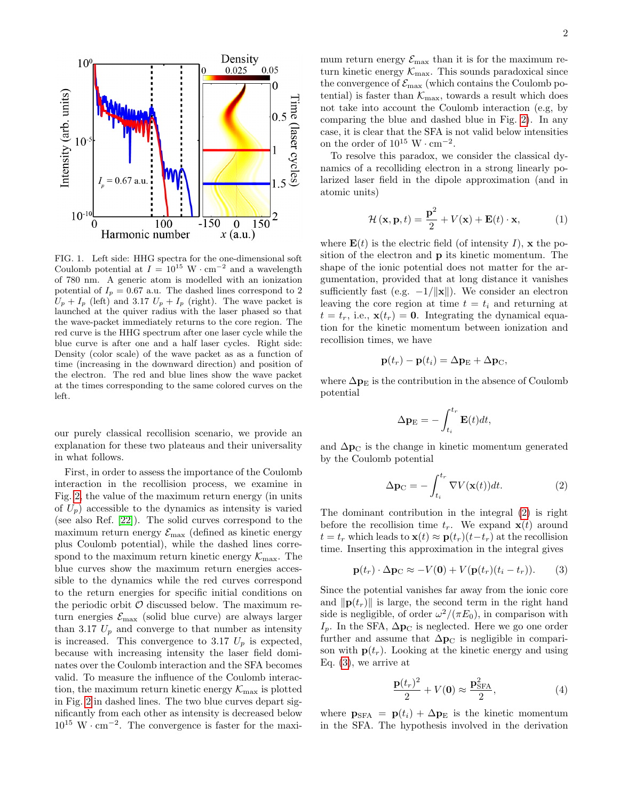

<span id="page-2-0"></span>FIG. 1. Left side: HHG spectra for the one-dimensional soft Coulomb potential at  $I = 10^{15} \text{ W} \cdot \text{cm}^{-2}$  and a wavelength of 780 nm. A generic atom is modelled with an ionization potential of  $I_p = 0.67$  a.u. The dashed lines correspond to 2  $U_p + I_p$  (left) and 3.17  $U_p + I_p$  (right). The wave packet is launched at the quiver radius with the laser phased so that the wave-packet immediately returns to the core region. The red curve is the HHG spectrum after one laser cycle while the blue curve is after one and a half laser cycles. Right side: Density (color scale) of the wave packet as as a function of time (increasing in the downward direction) and position of the electron. The red and blue lines show the wave packet at the times corresponding to the same colored curves on the left.

our purely classical recollision scenario, we provide an explanation for these two plateaus and their universality in what follows.

First, in order to assess the importance of the Coulomb interaction in the recollision process, we examine in Fig. [2,](#page-3-0) the value of the maximum return energy (in units of  $U_p$ ) accessible to the dynamics as intensity is varied (see also Ref. [\[22\]](#page-5-15)). The solid curves correspond to the maximum return energy  $\mathcal{E}_{\text{max}}$  (defined as kinetic energy plus Coulomb potential), while the dashed lines correspond to the maximum return kinetic energy  $\mathcal{K}_{\text{max}}$ . The blue curves show the maximum return energies accessible to the dynamics while the red curves correspond to the return energies for specific initial conditions on the periodic orbit  $\mathcal O$  discussed below. The maximum return energies  $\mathcal{E}_{\text{max}}$  (solid blue curve) are always larger than 3.17  $U_p$  and converge to that number as intensity is increased. This convergence to 3.17  $U_p$  is expected, because with increasing intensity the laser field dominates over the Coulomb interaction and the SFA becomes valid. To measure the influence of the Coulomb interaction, the maximum return kinetic energy  $\mathcal{K}_{\text{max}}$  is plotted in Fig. [2](#page-3-0) in dashed lines. The two blue curves depart significantly from each other as intensity is decreased below  $10^{15}$  W · cm<sup>-2</sup>. The convergence is faster for the maxi-

mum return energy  $\mathcal{E}_{\text{max}}$  than it is for the maximum return kinetic energy  $\mathcal{K}_{\text{max}}$ . This sounds paradoxical since the convergence of  $\mathcal{E}_{\text{max}}$  (which contains the Coulomb potential) is faster than  $\mathcal{K}_{\text{max}}$ , towards a result which does not take into account the Coulomb interaction (e.g, by comparing the blue and dashed blue in Fig. [2\)](#page-3-0). In any case, it is clear that the SFA is not valid below intensities on the order of  $10^{15}$  W · cm<sup>-2</sup>.

To resolve this paradox, we consider the classical dynamics of a recolliding electron in a strong linearly polarized laser field in the dipole approximation (and in atomic units)

$$
\mathcal{H}(\mathbf{x}, \mathbf{p}, t) = \frac{\mathbf{p}^2}{2} + V(\mathbf{x}) + \mathbf{E}(t) \cdot \mathbf{x},
$$
 (1)

where  $\mathbf{E}(t)$  is the electric field (of intensity I), x the position of the electron and p its kinetic momentum. The shape of the ionic potential does not matter for the argumentation, provided that at long distance it vanishes sufficiently fast (e.g.  $-1/\Vert \mathbf{x} \Vert$ ). We consider an electron leaving the core region at time  $t = t_i$  and returning at  $t = t_r$ , i.e.,  $\mathbf{x}(t_r) = \mathbf{0}$ . Integrating the dynamical equation for the kinetic momentum between ionization and recollision times, we have

$$
\mathbf{p}(t_r) - \mathbf{p}(t_i) = \Delta \mathbf{p}_E + \Delta \mathbf{p}_C,
$$

where  $\Delta p_E$  is the contribution in the absence of Coulomb potential

$$
\Delta \mathbf{p}_{\mathrm{E}} = -\int_{t_i}^{t_r} \mathbf{E}(t) dt,
$$

and  $\Delta p_{\rm C}$  is the change in kinetic momentum generated by the Coulomb potential

<span id="page-2-1"></span>
$$
\Delta \mathbf{p}_{\mathrm{C}} = -\int_{t_i}^{t_r} \nabla V(\mathbf{x}(t)) dt.
$$
 (2)

The dominant contribution in the integral [\(2\)](#page-2-1) is right before the recollision time  $t_r$ . We expand  $\mathbf{x}(t)$  around  $t = t_r$  which leads to  $\mathbf{x}(t) \approx \mathbf{p}(t_r)(t-t_r)$  at the recollision time. Inserting this approximation in the integral gives

<span id="page-2-2"></span>
$$
\mathbf{p}(t_r) \cdot \Delta \mathbf{p}_C \approx -V(\mathbf{0}) + V(\mathbf{p}(t_r)(t_i - t_r)). \tag{3}
$$

Since the potential vanishes far away from the ionic core and  $\|\mathbf{p}(t_r)\|$  is large, the second term in the right hand side is negligible, of order  $\omega^2/(\pi E_0)$ , in comparison with  $I_p$ . In the SFA,  $\Delta p_C$  is neglected. Here we go one order further and assume that  $\Delta p_{\text{C}}$  is negligible in comparison with  $p(t_r)$ . Looking at the kinetic energy and using Eq. [\(3\)](#page-2-2), we arrive at

<span id="page-2-3"></span>
$$
\frac{\mathbf{p}(t_r)^2}{2} + V(\mathbf{0}) \approx \frac{\mathbf{p}_{\text{SFA}}^2}{2},\tag{4}
$$

where  $\mathbf{p}_{\text{SFA}} = \mathbf{p}(t_i) + \Delta \mathbf{p}_{\text{E}}$  is the kinetic momentum in the SFA. The hypothesis involved in the derivation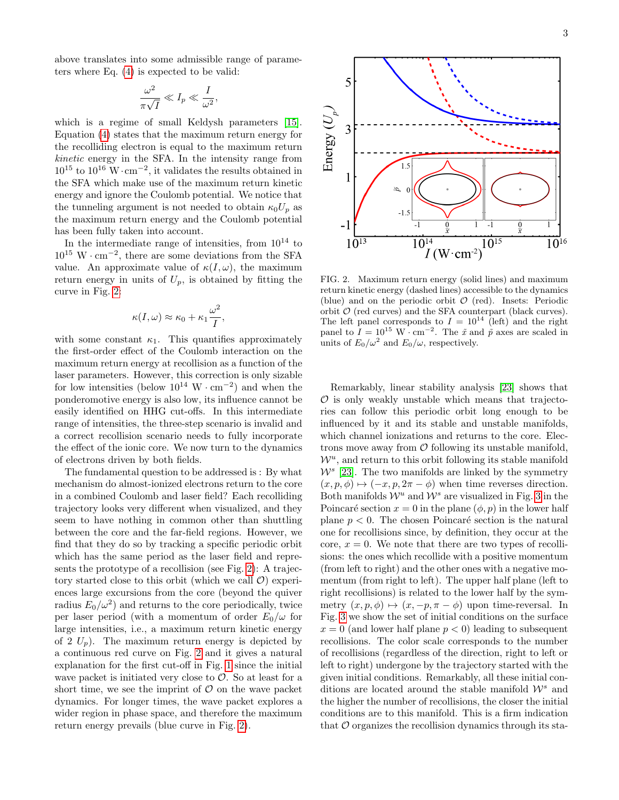above translates into some admissible range of parameters where Eq. [\(4\)](#page-2-3) is expected to be valid:

$$
\frac{\omega^2}{\pi\sqrt{I}} \ll I_p \ll \frac{I}{\omega^2},
$$

which is a regime of small Keldysh parameters [\[15\]](#page-5-9). Equation [\(4\)](#page-2-3) states that the maximum return energy for the recolliding electron is equal to the maximum return kinetic energy in the SFA. In the intensity range from  $10^{15}$  to  $10^{16}$  W·cm<sup>-2</sup>, it validates the results obtained in the SFA which make use of the maximum return kinetic energy and ignore the Coulomb potential. We notice that the tunneling argument is not needed to obtain  $\kappa_0 U_p$  as the maximum return energy and the Coulomb potential has been fully taken into account.

In the intermediate range of intensities, from  $10^{14}$  to  $10^{15}$  W · cm<sup>-2</sup>, there are some deviations from the SFA value. An approximate value of  $\kappa(I,\omega)$ , the maximum return energy in units of  $U_p$ , is obtained by fitting the curve in Fig. [2:](#page-3-0)

$$
\kappa(I,\omega) \approx \kappa_0 + \kappa_1 \frac{\omega^2}{I},
$$

with some constant  $\kappa_1$ . This quantifies approximately the first-order effect of the Coulomb interaction on the maximum return energy at recollision as a function of the laser parameters. However, this correction is only sizable for low intensities (below  $10^{14}$  W · cm<sup>-2</sup>) and when the ponderomotive energy is also low, its influence cannot be easily identified on HHG cut-offs. In this intermediate range of intensities, the three-step scenario is invalid and a correct recollision scenario needs to fully incorporate the effect of the ionic core. We now turn to the dynamics of electrons driven by both fields.

The fundamental question to be addressed is : By what mechanism do almost-ionized electrons return to the core in a combined Coulomb and laser field? Each recolliding trajectory looks very different when visualized, and they seem to have nothing in common other than shuttling between the core and the far-field regions. However, we find that they do so by tracking a specific periodic orbit which has the same period as the laser field and represents the prototype of a recollision (see Fig. [2\)](#page-3-0): A trajectory started close to this orbit (which we call  $\mathcal{O}$ ) experiences large excursions from the core (beyond the quiver radius  $E_0/\omega^2$  and returns to the core periodically, twice per laser period (with a momentum of order  $E_0/\omega$  for large intensities, i.e., a maximum return kinetic energy of 2  $U_p$ ). The maximum return energy is depicted by a continuous red curve on Fig. [2](#page-3-0) and it gives a natural explanation for the first cut-off in Fig. [1](#page-2-0) since the initial wave packet is initiated very close to  $\mathcal{O}$ . So at least for a short time, we see the imprint of  $\mathcal O$  on the wave packet dynamics. For longer times, the wave packet explores a wider region in phase space, and therefore the maximum return energy prevails (blue curve in Fig. [2\)](#page-3-0).



<span id="page-3-0"></span>FIG. 2. Maximum return energy (solid lines) and maximum return kinetic energy (dashed lines) accessible to the dynamics (blue) and on the periodic orbit  $\mathcal{O}$  (red). Insets: Periodic orbit  $\mathcal{O}$  (red curves) and the SFA counterpart (black curves). The left panel corresponds to  $I = 10^{14}$  (left) and the right panel to  $I = 10^{15} \text{ W} \cdot \text{cm}^{-2}$ . The  $\tilde{x}$  and  $\tilde{p}$  axes are scaled in units of  $E_0/\omega^2$  and  $E_0/\omega$ , respectively.

Remarkably, linear stability analysis [\[23\]](#page-5-16) shows that  $\mathcal O$  is only weakly unstable which means that trajectories can follow this periodic orbit long enough to be influenced by it and its stable and unstable manifolds, which channel ionizations and returns to the core. Electrons move away from  $\mathcal O$  following its unstable manifold.  $W^u$ , and return to this orbit following its stable manifold  $W^s$  [\[23\]](#page-5-16). The two manifolds are linked by the symmetry  $(x, p, \phi) \mapsto (-x, p, 2\pi - \phi)$  when time reverses direction. Both manifolds  $\mathcal{W}^u$  and  $\mathcal{W}^s$  are visualized in Fig. [3](#page-4-5) in the Poincaré section  $x = 0$  in the plane  $(\phi, p)$  in the lower half plane  $p < 0$ . The chosen Poincaré section is the natural one for recollisions since, by definition, they occur at the core,  $x = 0$ . We note that there are two types of recollisions: the ones which recollide with a positive momentum (from left to right) and the other ones with a negative momentum (from right to left). The upper half plane (left to right recollisions) is related to the lower half by the symmetry  $(x, p, \phi) \mapsto (x, -p, \pi - \phi)$  upon time-reversal. In Fig. [3](#page-4-5) we show the set of initial conditions on the surface  $x = 0$  (and lower half plane  $p < 0$ ) leading to subsequent recollisions. The color scale corresponds to the number of recollisions (regardless of the direction, right to left or left to right) undergone by the trajectory started with the given initial conditions. Remarkably, all these initial conditions are located around the stable manifold  $\mathcal{W}^s$  and the higher the number of recollisions, the closer the initial conditions are to this manifold. This is a firm indication that  $\mathcal O$  organizes the recollision dynamics through its sta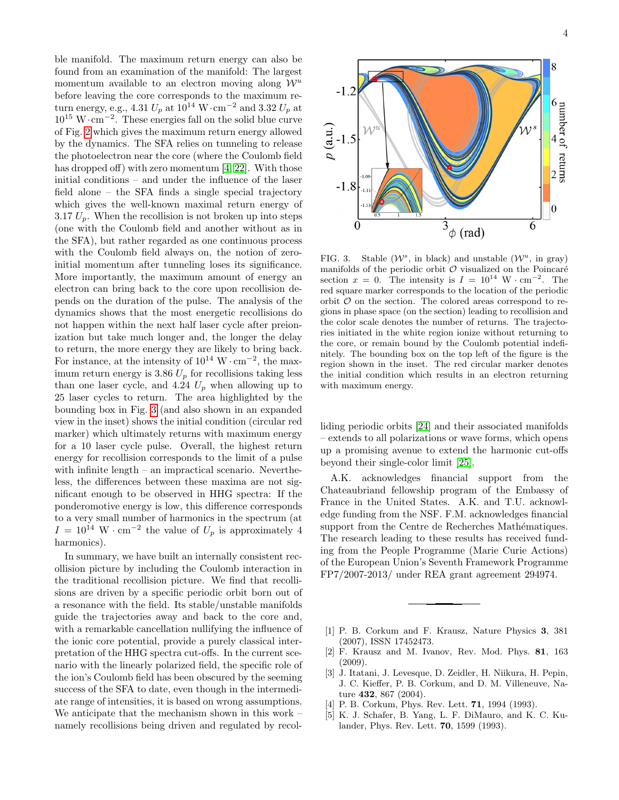ble manifold. The maximum return energy can also be found from an examination of the manifold: The largest momentum available to an electron moving along  $\mathcal{W}^u$ before leaving the core corresponds to the maximum return energy, e.g., 4.31  $U_p$  at  $10^{14}$  W·cm<sup>-2</sup> and 3.32  $U_p$  at  $10^{15}$  W⋅cm<sup>-2</sup>. These energies fall on the solid blue curve of Fig. [2](#page-3-0) which gives the maximum return energy allowed by the dynamics. The SFA relies on tunneling to release the photoelectron near the core (where the Coulomb field has dropped off) with zero momentum [\[4,](#page-4-3) [22\]](#page-5-15). With those initial conditions – and under the influence of the laser field alone – the SFA finds a single special trajectory which gives the well-known maximal return energy of 3.17  $U_p$ . When the recollision is not broken up into steps (one with the Coulomb field and another without as in the SFA), but rather regarded as one continuous process with the Coulomb field always on, the notion of zeroinitial momentum after tunneling loses its significance. More importantly, the maximum amount of energy an electron can bring back to the core upon recollision depends on the duration of the pulse. The analysis of the dynamics shows that the most energetic recollisions do not happen within the next half laser cycle after preionization but take much longer and, the longer the delay to return, the more energy they are likely to bring back. For instance, at the intensity of  $10^{14} \text{ W} \cdot \text{cm}^{-2}$ , the maximum return energy is 3.86  $U_p$  for recollisions taking less than one laser cycle, and 4.24  $U_p$  when allowing up to 25 laser cycles to return. The area highlighted by the bounding box in Fig. [3](#page-4-5) (and also shown in an expanded view in the inset) shows the initial condition (circular red marker) which ultimately returns with maximum energy for a 10 laser cycle pulse. Overall, the highest return energy for recollision corresponds to the limit of a pulse with infinite length – an impractical scenario. Nevertheless, the differences between these maxima are not significant enough to be observed in HHG spectra: If the ponderomotive energy is low, this difference corresponds to a very small number of harmonics in the spectrum (at  $I = 10^{14} \text{ W} \cdot \text{cm}^{-2}$  the value of  $U_p$  is approximately 4 harmonics).

In summary, we have built an internally consistent recollision picture by including the Coulomb interaction in the traditional recollision picture. We find that recollisions are driven by a specific periodic orbit born out of a resonance with the field. Its stable/unstable manifolds guide the trajectories away and back to the core and, with a remarkable cancellation nullifying the influence of the ionic core potential, provide a purely classical interpretation of the HHG spectra cut-offs. In the current scenario with the linearly polarized field, the specific role of the ion's Coulomb field has been obscured by the seeming success of the SFA to date, even though in the intermediate range of intensities, it is based on wrong assumptions. We anticipate that the mechanism shown in this work – namely recollisions being driven and regulated by recol-



<span id="page-4-5"></span>FIG. 3. Stable  $(W^s$ , in black) and unstable  $(W^u$ , in gray) manifolds of the periodic orbit  $\mathcal O$  visualized on the Poincaré section  $x = 0$ . The intensity is  $I = 10^{14} \text{ W} \cdot \text{cm}^{-2}$ . The red square marker corresponds to the location of the periodic orbit  $\mathcal O$  on the section. The colored areas correspond to regions in phase space (on the section) leading to recollision and the color scale denotes the number of returns. The trajectories initiated in the white region ionize without returning to the core, or remain bound by the Coulomb potential indefinitely. The bounding box on the top left of the figure is the region shown in the inset. The red circular marker denotes the initial condition which results in an electron returning with maximum energy.

liding periodic orbits [\[24\]](#page-5-17) and their associated manifolds – extends to all polarizations or wave forms, which opens up a promising avenue to extend the harmonic cut-offs beyond their single-color limit [\[25\]](#page-5-18).

A.K. acknowledges financial support from the Chateaubriand fellowship program of the Embassy of France in the United States. A.K. and T.U. acknowledge funding from the NSF. F.M. acknowledges financial support from the Centre de Recherches Mathématiques. The research leading to these results has received funding from the People Programme (Marie Curie Actions) of the European Union's Seventh Framework Programme FP7/2007-2013/ under REA grant agreement 294974.

- <span id="page-4-0"></span>[1] P. B. Corkum and F. Krausz, Nature Physics 3, 381 (2007), ISSN 17452473.
- <span id="page-4-1"></span>[2] F. Krausz and M. Ivanov, Rev. Mod. Phys. 81, 163 (2009).
- <span id="page-4-2"></span>[3] J. Itatani, J. Levesque, D. Zeidler, H. Niikura, H. Pepin, J. C. Kieffer, P. B. Corkum, and D. M. Villeneuve, Nature 432, 867 (2004).
- <span id="page-4-3"></span>[4] P. B. Corkum, Phys. Rev. Lett. **71**, 1994 (1993).
- <span id="page-4-4"></span>[5] K. J. Schafer, B. Yang, L. F. DiMauro, and K. C. Kulander, Phys. Rev. Lett. 70, 1599 (1993).